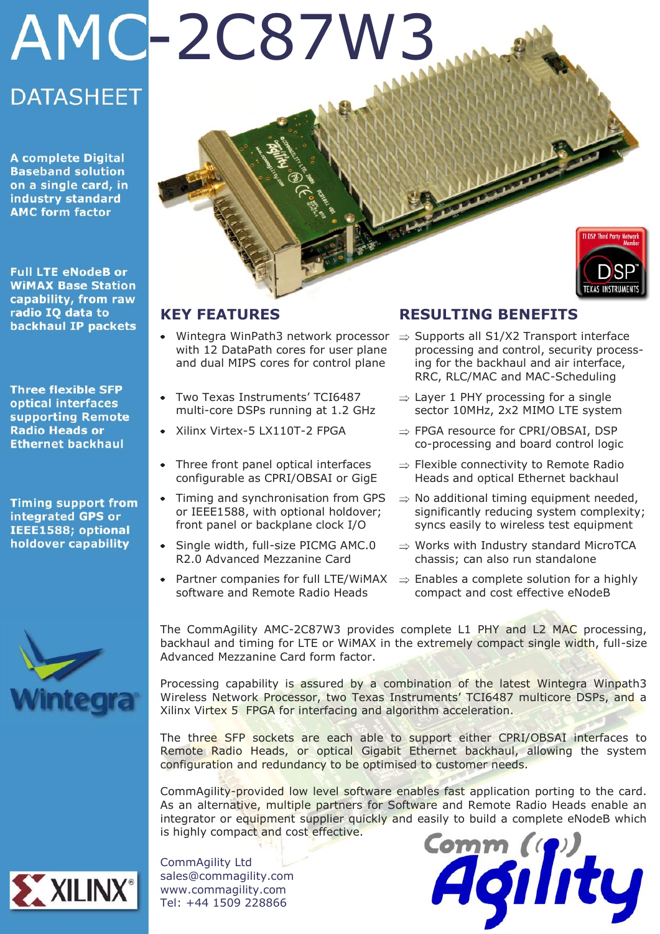# AMC-2C87W3 **DATASHEET**

**A complete Digital Baseband solution** on a single card, in industry standard **AMC form factor** 

**Full LTE eNodeB or WIMAX Base Station** capability, from raw radio IQ data to backhaul IP packets

**Three flexible SFP** optical interfaces supporting Remote **Radio Heads or Ethernet backhaul** 

**Timing support from** integrated GPS or IEEE1588; optional holdover capability



# **KEY FEATURES**

- with 12 DataPath cores for user plane and dual MIPS cores for control plane
- Two Texas Instruments' TCI6487 multi-core DSPs running at 1.2 GHz
- Xilinx Virtex-5 LX110T-2 FPGA
- Three front panel optical interfaces configurable as CPRI/OBSAI or GigE
- Timing and synchronisation from GPS or IEEE1588, with optional holdover; front panel or backplane clock I/O
- Single width, full-size PICMG AMC.0  $\bullet$ R2.0 Advanced Mezzanine Card
- Partner companies for full LTE/WiMAX software and Remote Radio Heads

# **RESULTING BENEFITS**

- Wintegra WinPath3 network processor  $\Rightarrow$  Supports all S1/X2 Transport interface processing and control, security processing for the backhaul and air interface, RRC, RLC/MAC and MAC-Scheduling
	- $\Rightarrow$  Layer 1 PHY processing for a single sector 10MHz, 2x2 MIMO LTE system
	- ⇒ FPGA resource for CPRI/OBSAI, DSP co-processing and board control logic
	- $\Rightarrow$  Flexible connectivity to Remote Radio Heads and optical Ethernet backhaul
	- $\Rightarrow$  No additional timing equipment needed, significantly reducing system complexity; syncs easily to wireless test equipment
	- $\Rightarrow$  Works with Industry standard MicroTCA chassis; can also run standalone
	- $\Rightarrow$  Enables a complete solution for a highly compact and cost effective eNodeB

The CommAgility AMC-2C87W3 provides complete L1 PHY and L2 MAC processing, backhaul and timing for LTE or WiMAX in the extremely compact single width, full-size Advanced Mezzanine Card form factor.

Processing capability is assured by a combination of the latest Wintegra Winpath3 Wireless Network Processor, two Texas Instruments' TCI6487 multicore DSPs, and a Xilinx Virtex 5 FPGA for interfacing and algorithm acceleration.

The three SFP sockets are each able to support either CPRI/OBSAI interfaces to Remote Radio Heads, or optical Gigabit Ethernet backhaul, allowing the system configuration and redundancy to be optimised to customer needs.

CommAgility-provided low level software enables fast application porting to the card. As an alternative, multiple partners for Software and Remote Radio Heads enable an integrator or equipment supplier quickly and easily to build a complete eNodeB which is highly compact and cost effective.



CommAgility Ltd sales@commagility.com www.commagility.com Tel: +44 1509 228866

Comm (T) ty